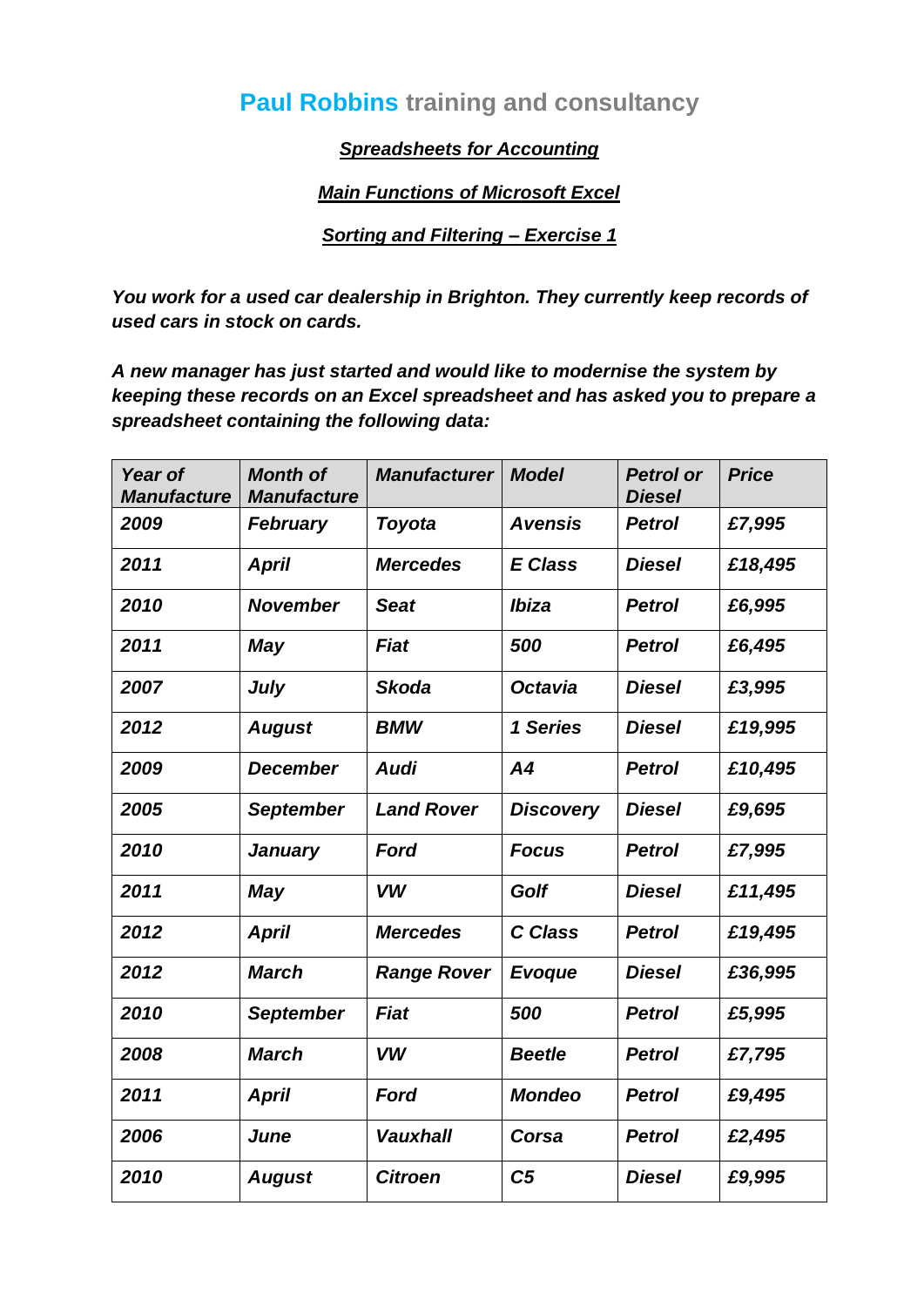## **Paul Robbins training and consultancy**

*Spreadsheets for Accounting*

*Main Functions of Microsoft Excel*

*Sorting and Filtering – Exercise 1*

*You work for a used car dealership in Brighton. They currently keep records of used cars in stock on cards.*

*A new manager has just started and would like to modernise the system by keeping these records on an Excel spreadsheet and has asked you to prepare a spreadsheet containing the following data:*

| Year of<br><b>Manufacture</b> | <b>Month of</b><br><b>Manufacture</b> | <b>Manufacturer</b> | <b>Model</b>     | <b>Petrol or</b><br><b>Diesel</b> | <b>Price</b> |
|-------------------------------|---------------------------------------|---------------------|------------------|-----------------------------------|--------------|
| 2009                          | <b>February</b>                       | <b>Toyota</b>       | <b>Avensis</b>   | <b>Petrol</b>                     | £7,995       |
| 2011                          | <b>April</b>                          | <b>Mercedes</b>     | <b>E</b> Class   | <b>Diesel</b>                     | £18,495      |
| 2010                          | <b>November</b>                       | <b>Seat</b>         | Ibiza            | <b>Petrol</b>                     | £6,995       |
| 2011                          | <b>May</b>                            | Fiat                | 500              | <b>Petrol</b>                     | £6,495       |
| 2007                          | July                                  | <b>Skoda</b>        | <b>Octavia</b>   | <b>Diesel</b>                     | £3,995       |
| 2012                          | <b>August</b>                         | <b>BMW</b>          | 1 Series         | <b>Diesel</b>                     | £19,995      |
| 2009                          | <b>December</b>                       | <b>Audi</b>         | A <sub>4</sub>   | <b>Petrol</b>                     | £10,495      |
| 2005                          | <b>September</b>                      | <b>Land Rover</b>   | <b>Discovery</b> | <b>Diesel</b>                     | £9,695       |
| 2010                          | <b>January</b>                        | <b>Ford</b>         | <b>Focus</b>     | <b>Petrol</b>                     | £7,995       |
| 2011                          | <b>May</b>                            | <b>VW</b>           | <b>Golf</b>      | <b>Diesel</b>                     | £11,495      |
| 2012                          | <b>April</b>                          | <b>Mercedes</b>     | C Class          | <b>Petrol</b>                     | £19,495      |
| 2012                          | <b>March</b>                          | <b>Range Rover</b>  | Evoque           | <b>Diesel</b>                     | £36,995      |
| 2010                          | <b>September</b>                      | Fiat                | 500              | <b>Petrol</b>                     | £5,995       |
| 2008                          | <b>March</b>                          | <b>VW</b>           | <b>Beetle</b>    | <b>Petrol</b>                     | £7,795       |
| 2011                          | <b>April</b>                          | <b>Ford</b>         | <b>Mondeo</b>    | <b>Petrol</b>                     | £9,495       |
| 2006                          | June                                  | <b>Vauxhall</b>     | Corsa            | <b>Petrol</b>                     | £2,495       |
| 2010                          | <b>August</b>                         | <b>Citroen</b>      | C <sub>5</sub>   | <b>Diesel</b>                     | £9,995       |